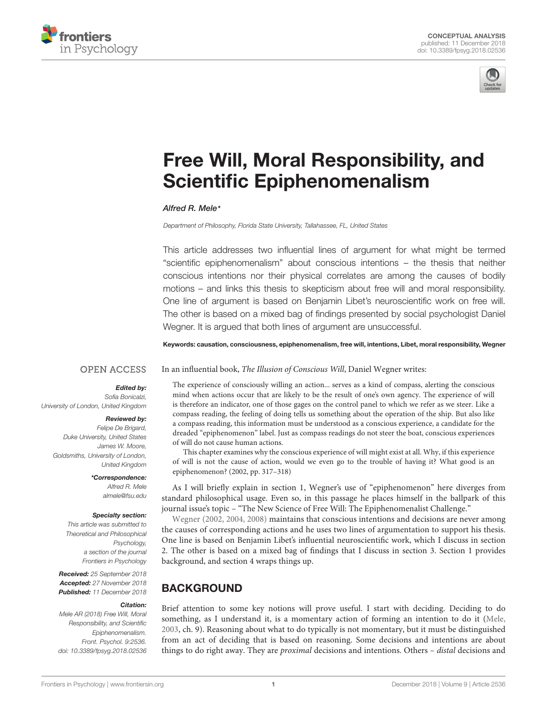<span id="page-0-0"></span>



# [Free Will, Moral Responsibility, and](https://www.frontiersin.org/articles/10.3389/fpsyg.2018.02536/full) Scientific Epiphenomenalism

### [Alfred R. Mele](http://loop.frontiersin.org/people/528619/overview)\*

Department of Philosophy, Florida State University, Tallahassee, FL, United States

This article addresses two influential lines of argument for what might be termed "scientific epiphenomenalism" about conscious intentions – the thesis that neither conscious intentions nor their physical correlates are among the causes of bodily motions – and links this thesis to skepticism about free will and moral responsibility. One line of argument is based on Benjamin Libet's neuroscientific work on free will. The other is based on a mixed bag of findings presented by social psychologist Daniel Wegner. It is argued that both lines of argument are unsuccessful.

Keywords: causation, consciousness, epiphenomenalism, free will, intentions, Libet, moral responsibility, Wegner

In an influential book, The Illusion of Conscious Will, Daniel Wegner writes:

### **OPEN ACCESS**

### Edited by:

Sofia Bonicalzi, University of London, United Kingdom

### Reviewed by:

Felipe De Brigard, Duke University, United States James W. Moore, Goldsmiths, University of London, United Kingdom

> \*Correspondence: Alfred R. Mele almele@fsu.edu

### Specialty section:

This article was submitted to Theoretical and Philosophical Psychology, a section of the journal Frontiers in Psychology

Received: 25 September 2018 Accepted: 27 November 2018 Published: 11 December 2018

#### Citation:

Mele AR (2018) Free Will, Moral Responsibility, and Scientific Epiphenomenalism. Front. Psychol. 9:2536. doi: [10.3389/fpsyg.2018.02536](https://doi.org/10.3389/fpsyg.2018.02536)

The experience of consciously willing an action... serves as a kind of compass, alerting the conscious mind when actions occur that are likely to be the result of one's own agency. The experience of will is therefore an indicator, one of those gages on the control panel to which we refer as we steer. Like a compass reading, the feeling of doing tells us something about the operation of the ship. But also like a compass reading, this information must be understood as a conscious experience, a candidate for the dreaded "epiphenomenon" label. Just as compass readings do not steer the boat, conscious experiences of will do not cause human actions.

This chapter examines why the conscious experience of will might exist at all. Why, if this experience of will is not the cause of action, would we even go to the trouble of having it? What good is an epiphenomenon? (2002, pp. 317–318)

As I will briefly explain in section 1, Wegner's use of "epiphenomenon" here diverges from standard philosophical usage. Even so, in this passage he places himself in the ballpark of this journal issue's topic – "The New Science of Free Will: The Epiphenomenalist Challenge."

[Wegner](#page-7-0) [\(2002,](#page-7-0) [2004,](#page-7-1) [2008\)](#page-7-2) maintains that conscious intentions and decisions are never among the causes of corresponding actions and he uses two lines of argumentation to support his thesis. One line is based on Benjamin Libet's influential neuroscientific work, which I discuss in section 2. The other is based on a mixed bag of findings that I discuss in section 3. Section 1 provides background, and section 4 wraps things up.

# **BACKGROUND**

Brief attention to some key notions will prove useful. I start with deciding. Deciding to do something, as I understand it, is a momentary action of forming an intention to do it [\(Mele,](#page-7-3) [2003,](#page-7-3) ch. 9). Reasoning about what to do typically is not momentary, but it must be distinguished from an act of deciding that is based on reasoning. Some decisions and intentions are about things to do right away. They are *proximal* decisions and intentions. Others – *distal* decisions and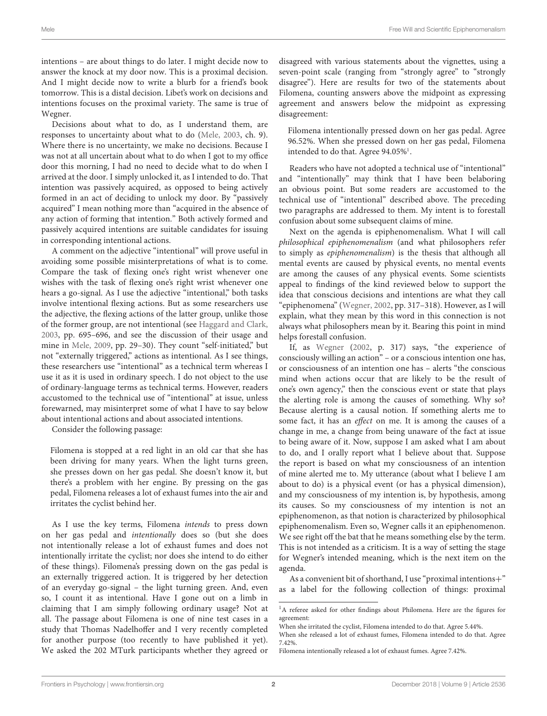intentions – are about things to do later. I might decide now to answer the knock at my door now. This is a proximal decision. And I might decide now to write a blurb for a friend's book tomorrow. This is a distal decision. Libet's work on decisions and intentions focuses on the proximal variety. The same is true of Wegner.

Decisions about what to do, as I understand them, are responses to uncertainty about what to do [\(Mele,](#page-7-3) [2003,](#page-7-3) ch. 9). Where there is no uncertainty, we make no decisions. Because I was not at all uncertain about what to do when I got to my office door this morning, I had no need to decide what to do when I arrived at the door. I simply unlocked it, as I intended to do. That intention was passively acquired, as opposed to being actively formed in an act of deciding to unlock my door. By "passively acquired" I mean nothing more than "acquired in the absence of any action of forming that intention." Both actively formed and passively acquired intentions are suitable candidates for issuing in corresponding intentional actions.

A comment on the adjective "intentional" will prove useful in avoiding some possible misinterpretations of what is to come. Compare the task of flexing one's right wrist whenever one wishes with the task of flexing one's right wrist whenever one hears a go-signal. As I use the adjective "intentional," both tasks involve intentional flexing actions. But as some researchers use the adjective, the flexing actions of the latter group, unlike those of the former group, are not intentional (see [Haggard and Clark,](#page-7-4) [2003,](#page-7-4) pp. 695–696, and see the discussion of their usage and mine in [Mele,](#page-7-5) [2009,](#page-7-5) pp. 29–30). They count "self-initiated," but not "externally triggered," actions as intentional. As I see things, these researchers use "intentional" as a technical term whereas I use it as it is used in ordinary speech. I do not object to the use of ordinary-language terms as technical terms. However, readers accustomed to the technical use of "intentional" at issue, unless forewarned, may misinterpret some of what I have to say below about intentional actions and about associated intentions.

Consider the following passage:

Filomena is stopped at a red light in an old car that she has been driving for many years. When the light turns green, she presses down on her gas pedal. She doesn't know it, but there's a problem with her engine. By pressing on the gas pedal, Filomena releases a lot of exhaust fumes into the air and irritates the cyclist behind her.

As I use the key terms, Filomena intends to press down on her gas pedal and intentionally does so (but she does not intentionally release a lot of exhaust fumes and does not intentionally irritate the cyclist; nor does she intend to do either of these things). Filomena's pressing down on the gas pedal is an externally triggered action. It is triggered by her detection of an everyday go-signal – the light turning green. And, even so, I count it as intentional. Have I gone out on a limb in claiming that I am simply following ordinary usage? Not at all. The passage about Filomena is one of nine test cases in a study that Thomas Nadelhoffer and I very recently completed for another purpose (too recently to have published it yet). We asked the 202 MTurk participants whether they agreed or disagreed with various statements about the vignettes, using a seven-point scale (ranging from "strongly agree" to "strongly disagree"). Here are results for two of the statements about Filomena, counting answers above the midpoint as expressing agreement and answers below the midpoint as expressing disagreement:

Filomena intentionally pressed down on her gas pedal. Agree 96.52%. When she pressed down on her gas pedal, Filomena intended to do that. Agree  $94.05\%$ <sup>[1](#page-1-0)</sup>.

Readers who have not adopted a technical use of "intentional" and "intentionally" may think that I have been belaboring an obvious point. But some readers are accustomed to the technical use of "intentional" described above. The preceding two paragraphs are addressed to them. My intent is to forestall confusion about some subsequent claims of mine.

Next on the agenda is epiphenomenalism. What I will call philosophical epiphenomenalism (and what philosophers refer to simply as epiphenomenalism) is the thesis that although all mental events are caused by physical events, no mental events are among the causes of any physical events. Some scientists appeal to findings of the kind reviewed below to support the idea that conscious decisions and intentions are what they call "epiphenomena" [\(Wegner,](#page-7-0) [2002,](#page-7-0) pp. 317–318). However, as I will explain, what they mean by this word in this connection is not always what philosophers mean by it. Bearing this point in mind helps forestall confusion.

If, as [Wegner](#page-7-0) [\(2002,](#page-7-0) p. 317) says, "the experience of consciously willing an action" – or a conscious intention one has, or consciousness of an intention one has – alerts "the conscious mind when actions occur that are likely to be the result of one's own agency," then the conscious event or state that plays the alerting role is among the causes of something. Why so? Because alerting is a causal notion. If something alerts me to some fact, it has an effect on me. It is among the causes of a change in me, a change from being unaware of the fact at issue to being aware of it. Now, suppose I am asked what I am about to do, and I orally report what I believe about that. Suppose the report is based on what my consciousness of an intention of mine alerted me to. My utterance (about what I believe I am about to do) is a physical event (or has a physical dimension), and my consciousness of my intention is, by hypothesis, among its causes. So my consciousness of my intention is not an epiphenomenon, as that notion is characterized by philosophical epiphenomenalism. Even so, Wegner calls it an epiphenomenon. We see right off the bat that he means something else by the term. This is not intended as a criticism. It is a way of setting the stage for Wegner's intended meaning, which is the next item on the agenda.

As a convenient bit of shorthand, I use "proximal intentions+" as a label for the following collection of things: proximal

<span id="page-1-0"></span><sup>&</sup>lt;sup>1</sup>A referee asked for other findings about Philomena. Here are the figures for agreement:

When she irritated the cyclist, Filomena intended to do that. Agree 5.44%.

When she released a lot of exhaust fumes, Filomena intended to do that. Agree 7.42%.

Filomena intentionally released a lot of exhaust fumes. Agree 7.42%.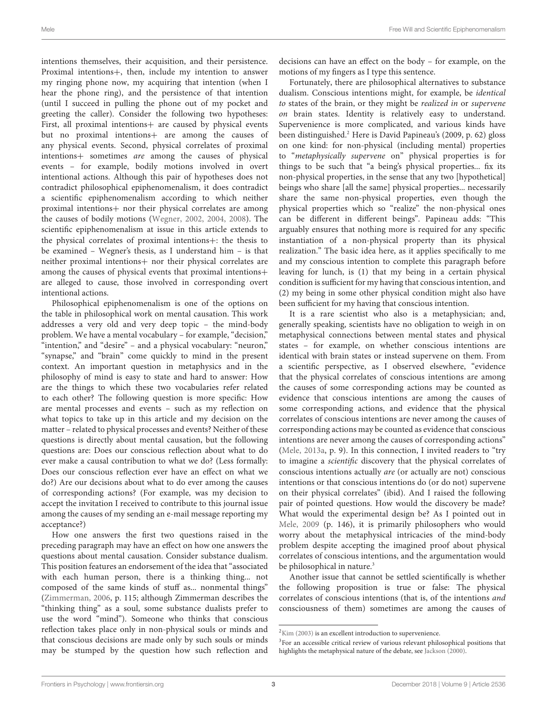intentions themselves, their acquisition, and their persistence. Proximal intentions+, then, include my intention to answer my ringing phone now, my acquiring that intention (when I hear the phone ring), and the persistence of that intention (until I succeed in pulling the phone out of my pocket and greeting the caller). Consider the following two hypotheses: First, all proximal intentions+ are caused by physical events but no proximal intentions+ are among the causes of any physical events. Second, physical correlates of proximal intentions+ sometimes are among the causes of physical events – for example, bodily motions involved in overt intentional actions. Although this pair of hypotheses does not contradict philosophical epiphenomenalism, it does contradict a scientific epiphenomenalism according to which neither proximal intentions+ nor their physical correlates are among the causes of bodily motions [\(Wegner,](#page-7-0) [2002,](#page-7-0) [2004,](#page-7-1) [2008\)](#page-7-2). The scientific epiphenomenalism at issue in this article extends to the physical correlates of proximal intentions+: the thesis to be examined – Wegner's thesis, as I understand him – is that neither proximal intentions+ nor their physical correlates are among the causes of physical events that proximal intentions+ are alleged to cause, those involved in corresponding overt intentional actions.

Philosophical epiphenomenalism is one of the options on the table in philosophical work on mental causation. This work addresses a very old and very deep topic – the mind-body problem. We have a mental vocabulary – for example, "decision," "intention," and "desire" – and a physical vocabulary: "neuron," "synapse," and "brain" come quickly to mind in the present context. An important question in metaphysics and in the philosophy of mind is easy to state and hard to answer: How are the things to which these two vocabularies refer related to each other? The following question is more specific: How are mental processes and events – such as my reflection on what topics to take up in this article and my decision on the matter – related to physical processes and events? Neither of these questions is directly about mental causation, but the following questions are: Does our conscious reflection about what to do ever make a causal contribution to what we do? (Less formally: Does our conscious reflection ever have an effect on what we do?) Are our decisions about what to do ever among the causes of corresponding actions? (For example, was my decision to accept the invitation I received to contribute to this journal issue among the causes of my sending an e-mail message reporting my acceptance?)

How one answers the first two questions raised in the preceding paragraph may have an effect on how one answers the questions about mental causation. Consider substance dualism. This position features an endorsement of the idea that "associated with each human person, there is a thinking thing... not composed of the same kinds of stuff as... nonmental things" [\(Zimmerman,](#page-7-6) [2006,](#page-7-6) p. 115; although Zimmerman describes the "thinking thing" as a soul, some substance dualists prefer to use the word "mind"). Someone who thinks that conscious reflection takes place only in non-physical souls or minds and that conscious decisions are made only by such souls or minds may be stumped by the question how such reflection and

decisions can have an effect on the body – for example, on the motions of my fingers as I type this sentence.

Fortunately, there are philosophical alternatives to substance dualism. Conscious intentions might, for example, be identical to states of the brain, or they might be realized in or supervene on brain states. Identity is relatively easy to understand. Supervenience is more complicated, and various kinds have been distinguished.<sup>[2](#page-2-0)</sup> Here is David Papineau's (2009, p. 62) gloss on one kind: for non-physical (including mental) properties to "metaphysically supervene on" physical properties is for things to be such that "a being's physical properties... fix its non-physical properties, in the sense that any two [hypothetical] beings who share [all the same] physical properties... necessarily share the same non-physical properties, even though the physical properties which so "realize" the non-physical ones can be different in different beings". Papineau adds: "This arguably ensures that nothing more is required for any specific instantiation of a non-physical property than its physical realization." The basic idea here, as it applies specifically to me and my conscious intention to complete this paragraph before leaving for lunch, is (1) that my being in a certain physical condition is sufficient for my having that conscious intention, and (2) my being in some other physical condition might also have been sufficient for my having that conscious intention.

It is a rare scientist who also is a metaphysician; and, generally speaking, scientists have no obligation to weigh in on metaphysical connections between mental states and physical states – for example, on whether conscious intentions are identical with brain states or instead supervene on them. From a scientific perspective, as I observed elsewhere, "evidence that the physical correlates of conscious intentions are among the causes of some corresponding actions may be counted as evidence that conscious intentions are among the causes of some corresponding actions, and evidence that the physical correlates of conscious intentions are never among the causes of corresponding actions may be counted as evidence that conscious intentions are never among the causes of corresponding actions" [\(Mele,](#page-7-7) [2013a,](#page-7-7) p. 9). In this connection, I invited readers to "try to imagine a scientific discovery that the physical correlates of conscious intentions actually are (or actually are not) conscious intentions or that conscious intentions do (or do not) supervene on their physical correlates" (ibid). And I raised the following pair of pointed questions. How would the discovery be made? What would the experimental design be? As I pointed out in [Mele,](#page-7-5) [2009](#page-7-5) (p. 146), it is primarily philosophers who would worry about the metaphysical intricacies of the mind-body problem despite accepting the imagined proof about physical correlates of conscious intentions, and the argumentation would be philosophical in nature.<sup>[3](#page-2-1)</sup>

Another issue that cannot be settled scientifically is whether the following proposition is true or false: The physical correlates of conscious intentions (that is, of the intentions and consciousness of them) sometimes are among the causes of

<span id="page-2-0"></span> $2$ [Kim](#page-7-8) [\(2003\)](#page-7-8) is an excellent introduction to supervenience.

<span id="page-2-1"></span><sup>&</sup>lt;sup>3</sup>For an accessible critical review of various relevant philosophical positions that highlights the metaphysical nature of the debate, see [Jackson](#page-7-9) [\(2000\)](#page-7-9).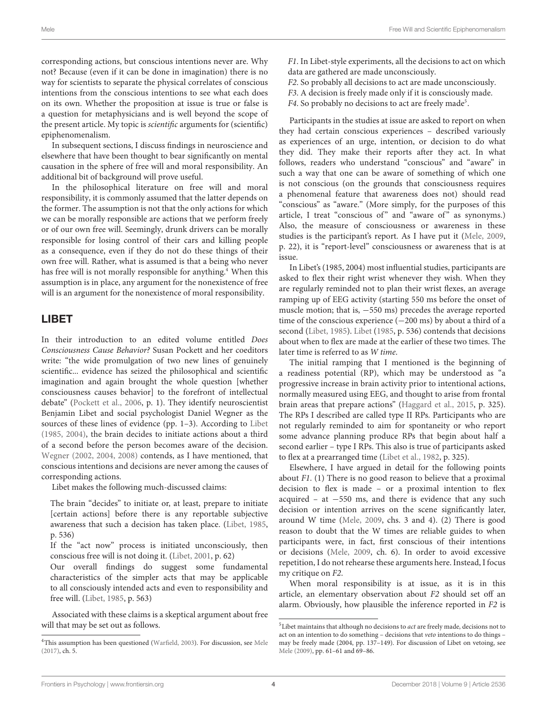corresponding actions, but conscious intentions never are. Why not? Because (even if it can be done in imagination) there is no way for scientists to separate the physical correlates of conscious intentions from the conscious intentions to see what each does on its own. Whether the proposition at issue is true or false is a question for metaphysicians and is well beyond the scope of the present article. My topic is scientific arguments for (scientific) epiphenomenalism.

In subsequent sections, I discuss findings in neuroscience and elsewhere that have been thought to bear significantly on mental causation in the sphere of free will and moral responsibility. An additional bit of background will prove useful.

In the philosophical literature on free will and moral responsibility, it is commonly assumed that the latter depends on the former. The assumption is not that the only actions for which we can be morally responsible are actions that we perform freely or of our own free will. Seemingly, drunk drivers can be morally responsible for losing control of their cars and killing people as a consequence, even if they do not do these things of their own free will. Rather, what is assumed is that a being who never has free will is not morally responsible for anything.<sup>[4](#page-3-0)</sup> When this assumption is in place, any argument for the nonexistence of free will is an argument for the nonexistence of moral responsibility.

# LIBET

In their introduction to an edited volume entitled Does Consciousness Cause Behavior? Susan Pockett and her coeditors write: "the wide promulgation of two new lines of genuinely scientific... evidence has seized the philosophical and scientific imagination and again brought the whole question [whether consciousness causes behavior] to the forefront of intellectual debate" [\(Pockett et al.,](#page-7-10) [2006,](#page-7-10) p. 1). They identify neuroscientist Benjamin Libet and social psychologist Daniel Wegner as the sources of these lines of evidence (pp. 1–3). According to [Libet](#page-7-11) [\(1985,](#page-7-11) [2004\)](#page-7-12), the brain decides to initiate actions about a third of a second before the person becomes aware of the decision. [Wegner](#page-7-0) [\(2002,](#page-7-0) [2004,](#page-7-1) [2008\)](#page-7-2) contends, as I have mentioned, that conscious intentions and decisions are never among the causes of corresponding actions.

Libet makes the following much-discussed claims:

The brain "decides" to initiate or, at least, prepare to initiate [certain actions] before there is any reportable subjective awareness that such a decision has taken place. [\(Libet,](#page-7-11) [1985,](#page-7-11) p. 536)

If the "act now" process is initiated unconsciously, then conscious free will is not doing it. [\(Libet,](#page-7-13) [2001,](#page-7-13) p. 62)

Our overall findings do suggest some fundamental characteristics of the simpler acts that may be applicable to all consciously intended acts and even to responsibility and free will. [\(Libet,](#page-7-11) [1985,](#page-7-11) p. 563)

Associated with these claims is a skeptical argument about free will that may be set out as follows.

F1. In Libet-style experiments, all the decisions to act on which data are gathered are made unconsciously.

- F2. So probably all decisions to act are made unconsciously.
- F3. A decision is freely made only if it is consciously made.
- F4. So probably no decisions to act are freely made<sup>[5](#page-3-1)</sup>.

Participants in the studies at issue are asked to report on when they had certain conscious experiences – described variously as experiences of an urge, intention, or decision to do what they did. They make their reports after they act. In what follows, readers who understand "conscious" and "aware" in such a way that one can be aware of something of which one is not conscious (on the grounds that consciousness requires a phenomenal feature that awareness does not) should read "conscious" as "aware." (More simply, for the purposes of this article, I treat "conscious of" and "aware of" as synonyms.) Also, the measure of consciousness or awareness in these studies is the participant's report. As I have put it [\(Mele,](#page-7-5) [2009,](#page-7-5) p. 22), it is "report-level" consciousness or awareness that is at issue.

In Libet's (1985, 2004) most influential studies, participants are asked to flex their right wrist whenever they wish. When they are regularly reminded not to plan their wrist flexes, an average ramping up of EEG activity (starting 550 ms before the onset of muscle motion; that is, −550 ms) precedes the average reported time of the conscious experience (−200 ms) by about a third of a second [\(Libet,](#page-7-11) [1985\)](#page-7-11). [Libet](#page-7-11) [\(1985,](#page-7-11) p. 536) contends that decisions about when to flex are made at the earlier of these two times. The later time is referred to as W time.

The initial ramping that I mentioned is the beginning of a readiness potential (RP), which may be understood as "a progressive increase in brain activity prior to intentional actions, normally measured using EEG, and thought to arise from frontal brain areas that prepare actions" [\(Haggard et al.,](#page-7-16) [2015,](#page-7-16) p. 325). The RPs I described are called type II RPs. Participants who are not regularly reminded to aim for spontaneity or who report some advance planning produce RPs that begin about half a second earlier – type I RPs. This also is true of participants asked to flex at a prearranged time [\(Libet et al.,](#page-7-17) [1982,](#page-7-17) p. 325).

Elsewhere, I have argued in detail for the following points about F1. (1) There is no good reason to believe that a proximal decision to flex is made – or a proximal intention to flex acquired – at −550 ms, and there is evidence that any such decision or intention arrives on the scene significantly later, around W time [\(Mele,](#page-7-5) [2009,](#page-7-5) chs. 3 and 4). (2) There is good reason to doubt that the W times are reliable guides to when participants were, in fact, first conscious of their intentions or decisions [\(Mele,](#page-7-5) [2009,](#page-7-5) ch. 6). In order to avoid excessive repetition, I do not rehearse these arguments here. Instead, I focus my critique on F2.

When moral responsibility is at issue, as it is in this article, an elementary observation about F2 should set off an alarm. Obviously, how plausible the inference reported in F2 is

<span id="page-3-0"></span><sup>&</sup>lt;sup>4</sup>This assumption has been questioned [\(Warfield,](#page-7-14) [2003\)](#page-7-14). For discussion, see [Mele](#page-7-15) [\(2017\)](#page-7-15), ch. 5.

<span id="page-3-1"></span> $^5$  Libet maintains that although no decisions to  $act$  are freely made, decisions not to act on an intention to do something – decisions that veto intentions to do things – may be freely made (2004, pp. 137–149). For discussion of Libet on vetoing, see [Mele](#page-7-5) [\(2009\)](#page-7-5), pp. 61–61 and 69–86.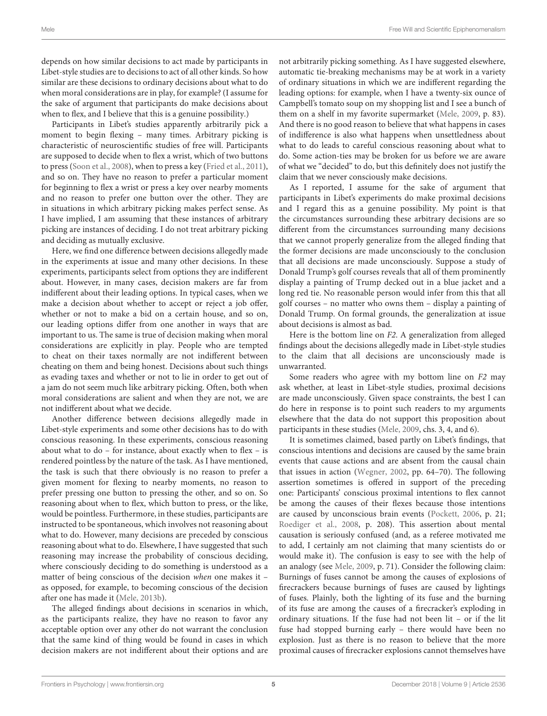depends on how similar decisions to act made by participants in Libet-style studies are to decisions to act of all other kinds. So how similar are these decisions to ordinary decisions about what to do when moral considerations are in play, for example? (I assume for the sake of argument that participants do make decisions about when to flex, and I believe that this is a genuine possibility.)

Participants in Libet's studies apparently arbitrarily pick a moment to begin flexing – many times. Arbitrary picking is characteristic of neuroscientific studies of free will. Participants are supposed to decide when to flex a wrist, which of two buttons to press [\(Soon et al.,](#page-7-18) [2008\)](#page-7-18), when to press a key [\(Fried et al.,](#page-7-19) [2011\)](#page-7-19), and so on. They have no reason to prefer a particular moment for beginning to flex a wrist or press a key over nearby moments and no reason to prefer one button over the other. They are in situations in which arbitrary picking makes perfect sense. As I have implied, I am assuming that these instances of arbitrary picking are instances of deciding. I do not treat arbitrary picking and deciding as mutually exclusive.

Here, we find one difference between decisions allegedly made in the experiments at issue and many other decisions. In these experiments, participants select from options they are indifferent about. However, in many cases, decision makers are far from indifferent about their leading options. In typical cases, when we make a decision about whether to accept or reject a job offer, whether or not to make a bid on a certain house, and so on, our leading options differ from one another in ways that are important to us. The same is true of decision making when moral considerations are explicitly in play. People who are tempted to cheat on their taxes normally are not indifferent between cheating on them and being honest. Decisions about such things as evading taxes and whether or not to lie in order to get out of a jam do not seem much like arbitrary picking. Often, both when moral considerations are salient and when they are not, we are not indifferent about what we decide.

Another difference between decisions allegedly made in Libet-style experiments and some other decisions has to do with conscious reasoning. In these experiments, conscious reasoning about what to do – for instance, about exactly when to flex – is rendered pointless by the nature of the task. As I have mentioned, the task is such that there obviously is no reason to prefer a given moment for flexing to nearby moments, no reason to prefer pressing one button to pressing the other, and so on. So reasoning about when to flex, which button to press, or the like, would be pointless. Furthermore, in these studies, participants are instructed to be spontaneous, which involves not reasoning about what to do. However, many decisions are preceded by conscious reasoning about what to do. Elsewhere, I have suggested that such reasoning may increase the probability of conscious deciding, where consciously deciding to do something is understood as a matter of being conscious of the decision when one makes it – as opposed, for example, to becoming conscious of the decision after one has made it [\(Mele,](#page-7-20) [2013b\)](#page-7-20).

The alleged findings about decisions in scenarios in which, as the participants realize, they have no reason to favor any acceptable option over any other do not warrant the conclusion that the same kind of thing would be found in cases in which decision makers are not indifferent about their options and are

not arbitrarily picking something. As I have suggested elsewhere, automatic tie-breaking mechanisms may be at work in a variety of ordinary situations in which we are indifferent regarding the leading options: for example, when I have a twenty-six ounce of Campbell's tomato soup on my shopping list and I see a bunch of them on a shelf in my favorite supermarket [\(Mele,](#page-7-5) [2009,](#page-7-5) p. 83). And there is no good reason to believe that what happens in cases of indifference is also what happens when unsettledness about what to do leads to careful conscious reasoning about what to do. Some action-ties may be broken for us before we are aware of what we "decided" to do, but this definitely does not justify the claim that we never consciously make decisions.

As I reported, I assume for the sake of argument that participants in Libet's experiments do make proximal decisions and I regard this as a genuine possibility. My point is that the circumstances surrounding these arbitrary decisions are so different from the circumstances surrounding many decisions that we cannot properly generalize from the alleged finding that the former decisions are made unconsciously to the conclusion that all decisions are made unconsciously. Suppose a study of Donald Trump's golf courses reveals that all of them prominently display a painting of Trump decked out in a blue jacket and a long red tie. No reasonable person would infer from this that all golf courses – no matter who owns them – display a painting of Donald Trump. On formal grounds, the generalization at issue about decisions is almost as bad.

Here is the bottom line on F2. A generalization from alleged findings about the decisions allegedly made in Libet-style studies to the claim that all decisions are unconsciously made is unwarranted.

Some readers who agree with my bottom line on F2 may ask whether, at least in Libet-style studies, proximal decisions are made unconsciously. Given space constraints, the best I can do here in response is to point such readers to my arguments elsewhere that the data do not support this proposition about participants in these studies [\(Mele,](#page-7-5) [2009,](#page-7-5) chs. 3, 4, and 6).

It is sometimes claimed, based partly on Libet's findings, that conscious intentions and decisions are caused by the same brain events that cause actions and are absent from the causal chain that issues in action [\(Wegner,](#page-7-0) [2002,](#page-7-0) pp. 64–70). The following assertion sometimes is offered in support of the preceding one: Participants' conscious proximal intentions to flex cannot be among the causes of their flexes because those intentions are caused by unconscious brain events [\(Pockett,](#page-7-21) [2006,](#page-7-21) p. 21; [Roediger et al.,](#page-7-22) [2008,](#page-7-22) p. 208). This assertion about mental causation is seriously confused (and, as a referee motivated me to add, I certainly am not claiming that many scientists do or would make it). The confusion is easy to see with the help of an analogy (see [Mele,](#page-7-5) [2009,](#page-7-5) p. 71). Consider the following claim: Burnings of fuses cannot be among the causes of explosions of firecrackers because burnings of fuses are caused by lightings of fuses. Plainly, both the lighting of its fuse and the burning of its fuse are among the causes of a firecracker's exploding in ordinary situations. If the fuse had not been lit – or if the lit fuse had stopped burning early – there would have been no explosion. Just as there is no reason to believe that the more proximal causes of firecracker explosions cannot themselves have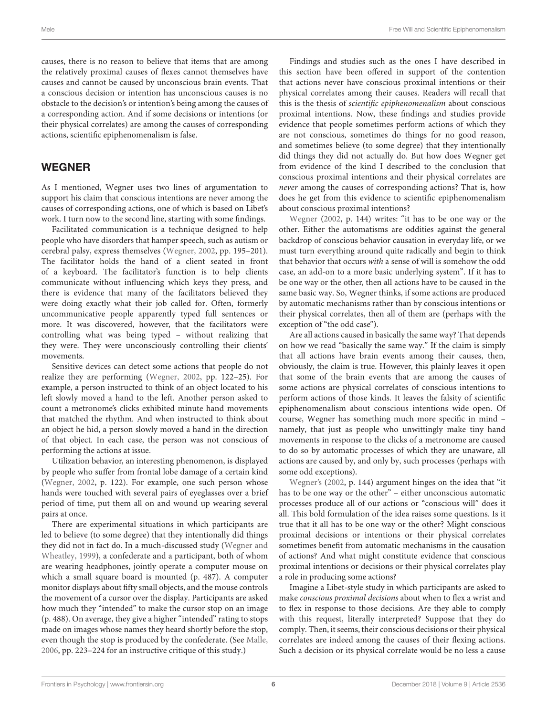causes, there is no reason to believe that items that are among the relatively proximal causes of flexes cannot themselves have causes and cannot be caused by unconscious brain events. That a conscious decision or intention has unconscious causes is no obstacle to the decision's or intention's being among the causes of a corresponding action. And if some decisions or intentions (or their physical correlates) are among the causes of corresponding actions, scientific epiphenomenalism is false.

### WEGNER

As I mentioned, Wegner uses two lines of argumentation to support his claim that conscious intentions are never among the causes of corresponding actions, one of which is based on Libet's work. I turn now to the second line, starting with some findings.

Facilitated communication is a technique designed to help people who have disorders that hamper speech, such as autism or cerebral palsy, express themselves [\(Wegner,](#page-7-0) [2002,](#page-7-0) pp. 195–201). The facilitator holds the hand of a client seated in front of a keyboard. The facilitator's function is to help clients communicate without influencing which keys they press, and there is evidence that many of the facilitators believed they were doing exactly what their job called for. Often, formerly uncommunicative people apparently typed full sentences or more. It was discovered, however, that the facilitators were controlling what was being typed – without realizing that they were. They were unconsciously controlling their clients' movements.

Sensitive devices can detect some actions that people do not realize they are performing [\(Wegner,](#page-7-0) [2002,](#page-7-0) pp. 122–25). For example, a person instructed to think of an object located to his left slowly moved a hand to the left. Another person asked to count a metronome's clicks exhibited minute hand movements that matched the rhythm. And when instructed to think about an object he hid, a person slowly moved a hand in the direction of that object. In each case, the person was not conscious of performing the actions at issue.

Utilization behavior, an interesting phenomenon, is displayed by people who suffer from frontal lobe damage of a certain kind [\(Wegner,](#page-7-0) [2002,](#page-7-0) p. 122). For example, one such person whose hands were touched with several pairs of eyeglasses over a brief period of time, put them all on and wound up wearing several pairs at once.

There are experimental situations in which participants are led to believe (to some degree) that they intentionally did things they did not in fact do. In a much-discussed study [\(Wegner and](#page-7-23) [Wheatley,](#page-7-23) [1999\)](#page-7-23), a confederate and a participant, both of whom are wearing headphones, jointly operate a computer mouse on which a small square board is mounted (p. 487). A computer monitor displays about fifty small objects, and the mouse controls the movement of a cursor over the display. Participants are asked how much they "intended" to make the cursor stop on an image (p. 488). On average, they give a higher "intended" rating to stops made on images whose names they heard shortly before the stop, even though the stop is produced by the confederate. (See [Malle,](#page-7-24) [2006,](#page-7-24) pp. 223–224 for an instructive critique of this study.)

Findings and studies such as the ones I have described in this section have been offered in support of the contention that actions never have conscious proximal intentions or their physical correlates among their causes. Readers will recall that this is the thesis of scientific epiphenomenalism about conscious proximal intentions. Now, these findings and studies provide evidence that people sometimes perform actions of which they are not conscious, sometimes do things for no good reason, and sometimes believe (to some degree) that they intentionally did things they did not actually do. But how does Wegner get from evidence of the kind I described to the conclusion that conscious proximal intentions and their physical correlates are never among the causes of corresponding actions? That is, how does he get from this evidence to scientific epiphenomenalism about conscious proximal intentions?

[Wegner](#page-7-0) [\(2002,](#page-7-0) p. 144) writes: "it has to be one way or the other. Either the automatisms are oddities against the general backdrop of conscious behavior causation in everyday life, or we must turn everything around quite radically and begin to think that behavior that occurs with a sense of will is somehow the odd case, an add-on to a more basic underlying system". If it has to be one way or the other, then all actions have to be caused in the same basic way. So, Wegner thinks, if some actions are produced by automatic mechanisms rather than by conscious intentions or their physical correlates, then all of them are (perhaps with the exception of "the odd case").

Are all actions caused in basically the same way? That depends on how we read "basically the same way." If the claim is simply that all actions have brain events among their causes, then, obviously, the claim is true. However, this plainly leaves it open that some of the brain events that are among the causes of some actions are physical correlates of conscious intentions to perform actions of those kinds. It leaves the falsity of scientific epiphenomenalism about conscious intentions wide open. Of course, Wegner has something much more specific in mind – namely, that just as people who unwittingly make tiny hand movements in response to the clicks of a metronome are caused to do so by automatic processes of which they are unaware, all actions are caused by, and only by, such processes (perhaps with some odd exceptions).

[Wegner's](#page-7-0) [\(2002,](#page-7-0) p. 144) argument hinges on the idea that "it has to be one way or the other" – either unconscious automatic processes produce all of our actions or "conscious will" does it all. This bold formulation of the idea raises some questions. Is it true that it all has to be one way or the other? Might conscious proximal decisions or intentions or their physical correlates sometimes benefit from automatic mechanisms in the causation of actions? And what might constitute evidence that conscious proximal intentions or decisions or their physical correlates play a role in producing some actions?

Imagine a Libet-style study in which participants are asked to make conscious proximal decisions about when to flex a wrist and to flex in response to those decisions. Are they able to comply with this request, literally interpreted? Suppose that they do comply. Then, it seems, their conscious decisions or their physical correlates are indeed among the causes of their flexing actions. Such a decision or its physical correlate would be no less a cause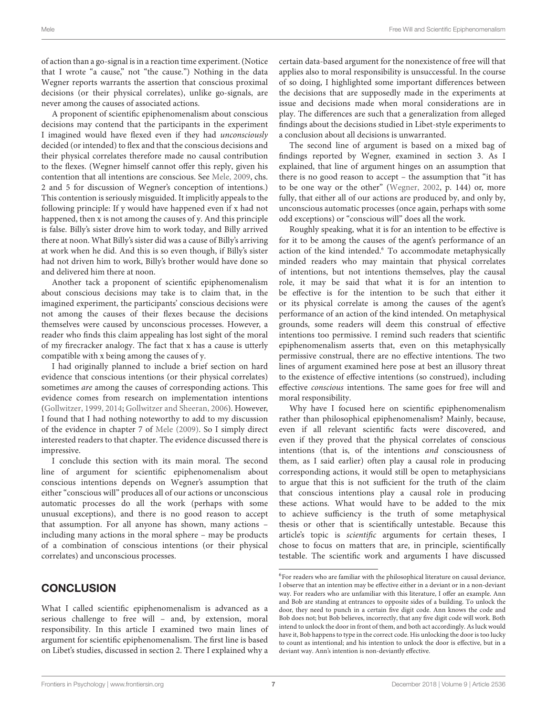of action than a go-signal is in a reaction time experiment. (Notice that I wrote "a cause," not "the cause.") Nothing in the data Wegner reports warrants the assertion that conscious proximal decisions (or their physical correlates), unlike go-signals, are never among the causes of associated actions.

A proponent of scientific epiphenomenalism about conscious decisions may contend that the participants in the experiment I imagined would have flexed even if they had unconsciously decided (or intended) to flex and that the conscious decisions and their physical correlates therefore made no causal contribution to the flexes. (Wegner himself cannot offer this reply, given his contention that all intentions are conscious. See [Mele,](#page-7-5) [2009,](#page-7-5) chs. 2 and 5 for discussion of Wegner's conception of intentions.) This contention is seriously misguided. It implicitly appeals to the following principle: If y would have happened even if x had not happened, then x is not among the causes of y. And this principle is false. Billy's sister drove him to work today, and Billy arrived there at noon. What Billy's sister did was a cause of Billy's arriving at work when he did. And this is so even though, if Billy's sister had not driven him to work, Billy's brother would have done so and delivered him there at noon.

Another tack a proponent of scientific epiphenomenalism about conscious decisions may take is to claim that, in the imagined experiment, the participants' conscious decisions were not among the causes of their flexes because the decisions themselves were caused by unconscious processes. However, a reader who finds this claim appealing has lost sight of the moral of my firecracker analogy. The fact that x has a cause is utterly compatible with x being among the causes of y.

I had originally planned to include a brief section on hard evidence that conscious intentions (or their physical correlates) sometimes are among the causes of corresponding actions. This evidence comes from research on implementation intentions [\(Gollwitzer,](#page-7-25) [1999,](#page-7-25) [2014;](#page-7-26) [Gollwitzer and Sheeran,](#page-7-27) [2006\)](#page-7-27). However, I found that I had nothing noteworthy to add to my discussion of the evidence in chapter 7 of [Mele](#page-7-5) [\(2009\)](#page-7-5). So I simply direct interested readers to that chapter. The evidence discussed there is impressive.

I conclude this section with its main moral. The second line of argument for scientific epiphenomenalism about conscious intentions depends on Wegner's assumption that either "conscious will" produces all of our actions or unconscious automatic processes do all the work (perhaps with some unusual exceptions), and there is no good reason to accept that assumption. For all anyone has shown, many actions – including many actions in the moral sphere – may be products of a combination of conscious intentions (or their physical correlates) and unconscious processes.

# **CONCLUSION**

What I called scientific epiphenomenalism is advanced as a serious challenge to free will – and, by extension, moral responsibility. In this article I examined two main lines of argument for scientific epiphenomenalism. The first line is based on Libet's studies, discussed in section 2. There I explained why a

certain data-based argument for the nonexistence of free will that applies also to moral responsibility is unsuccessful. In the course of so doing, I highlighted some important differences between the decisions that are supposedly made in the experiments at issue and decisions made when moral considerations are in play. The differences are such that a generalization from alleged findings about the decisions studied in Libet-style experiments to a conclusion about all decisions is unwarranted.

The second line of argument is based on a mixed bag of findings reported by Wegner, examined in section 3. As I explained, that line of argument hinges on an assumption that there is no good reason to accept – the assumption that "it has to be one way or the other" [\(Wegner,](#page-7-0) [2002,](#page-7-0) p. 144) or, more fully, that either all of our actions are produced by, and only by, unconscious automatic processes (once again, perhaps with some odd exceptions) or "conscious will" does all the work.

Roughly speaking, what it is for an intention to be effective is for it to be among the causes of the agent's performance of an action of the kind intended.<sup>[6](#page-6-0)</sup> To accommodate metaphysically minded readers who may maintain that physical correlates of intentions, but not intentions themselves, play the causal role, it may be said that what it is for an intention to be effective is for the intention to be such that either it or its physical correlate is among the causes of the agent's performance of an action of the kind intended. On metaphysical grounds, some readers will deem this construal of effective intentions too permissive. I remind such readers that scientific epiphenomenalism asserts that, even on this metaphysically permissive construal, there are no effective intentions. The two lines of argument examined here pose at best an illusory threat to the existence of effective intentions (so construed), including effective conscious intentions. The same goes for free will and moral responsibility.

Why have I focused here on scientific epiphenomenalism rather than philosophical epiphenomenalism? Mainly, because, even if all relevant scientific facts were discovered, and even if they proved that the physical correlates of conscious intentions (that is, of the intentions and consciousness of them, as I said earlier) often play a causal role in producing corresponding actions, it would still be open to metaphysicians to argue that this is not sufficient for the truth of the claim that conscious intentions play a causal role in producing these actions. What would have to be added to the mix to achieve sufficiency is the truth of some metaphysical thesis or other that is scientifically untestable. Because this article's topic is scientific arguments for certain theses, I chose to focus on matters that are, in principle, scientifically testable. The scientific work and arguments I have discussed

<span id="page-6-0"></span><sup>&</sup>lt;sup>6</sup>For readers who are familiar with the philosophical literature on causal deviance, I observe that an intention may be effective either in a deviant or in a non-deviant way. For readers who are unfamiliar with this literature, I offer an example. Ann and Bob are standing at entrances to opposite sides of a building. To unlock the door, they need to punch in a certain five digit code. Ann knows the code and Bob does not; but Bob believes, incorrectly, that any five digit code will work. Both intend to unlock the door in front of them, and both act accordingly. As luck would have it, Bob happens to type in the correct code. His unlocking the door is too lucky to count as intentional; and his intention to unlock the door is effective, but in a deviant way. Ann's intention is non-deviantly effective.